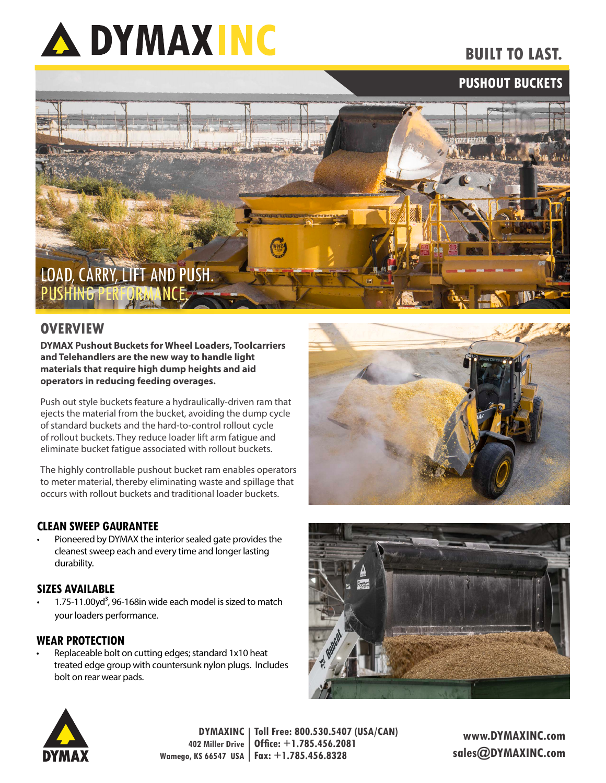

# **BUILT TO LAST.**

## **PUSHOUT BUCKETS**



### **OVERVIEW**

**DYMAX Pushout Buckets for Wheel Loaders, Toolcarriers and Telehandlers are the new way to handle light materials that require high dump heights and aid operators in reducing feeding overages.**

Push out style buckets feature a hydraulically-driven ram that ejects the material from the bucket, avoiding the dump cycle of standard buckets and the hard-to-control rollout cycle of rollout buckets. They reduce loader lift arm fatigue and eliminate bucket fatigue associated with rollout buckets.

The highly controllable pushout bucket ram enables operators to meter material, thereby eliminating waste and spillage that occurs with rollout buckets and traditional loader buckets.

#### **CLEAN SWEEP GAURANTEE**

• Pioneered by DYMAX the interior sealed gate provides the cleanest sweep each and every time and longer lasting durability.

#### **SIZES AVAILABLE**

1.75-11.00yd<sup>3</sup>, 96-168in wide each model is sized to match your loaders performance.

#### **WEAR PROTECTION**

Replaceable bolt on cutting edges; standard 1x10 heat treated edge group with countersunk nylon plugs. Includes bolt on rear wear pads.







**DYMAXINC Toll Free: 800.530.5407 (USA/CAN) 402 Miller Drive Wamego, KS 66547 USA Fax: +1.785.456.8328 Office: +1.785.456.2081**

**www.DYMAXINC.com sales@DYMAXINC.com**